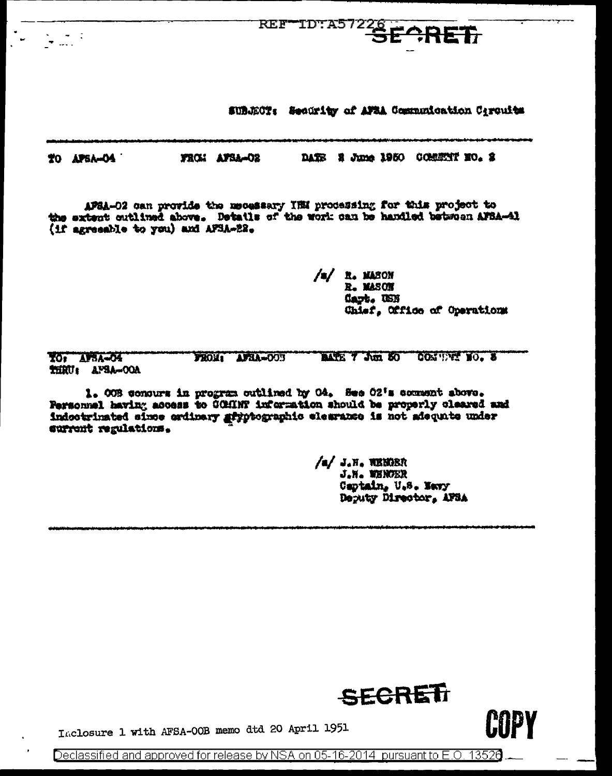SUBJECT: Security of ATSA Communication Circuits

REFTID: A57228 ECRET

DATE E June 1950 COMENT NO. 2 TO APSA-04 FROM AFBA-02

APSA-02 can provide the mecessary IBM processing for this project to the extent outlined above. Detatls of the work can be handled between AFSA-41 (if agreeable to you) and AFSA-22.

> /s/ R. MASON R. MASON Capt. USN Chief, Office of Operations

**TO: APSA-04 MARY Jun 50** CONTINUE NO. 8 FROM: AFSA-003 THRU: AFSA-OOA

1. OOB consure in program outlined by O4. See O2's comment above. Fersonnel having access to COMINT information should be properly cleared and indoctrinated since ardinary gryptographic elemence is not adequate under surrent regulations.

> /a/ J.H. WENCER J.N. WENDER Captain, U.S. Navy Deputy Director, AFSA



**MPY!** 

Inclosure 1 with AFSA-00B memo dtd 20 April 1951

Declassified and approved for release by NSA on 05-16-2014 pursuant to E.O. 13526